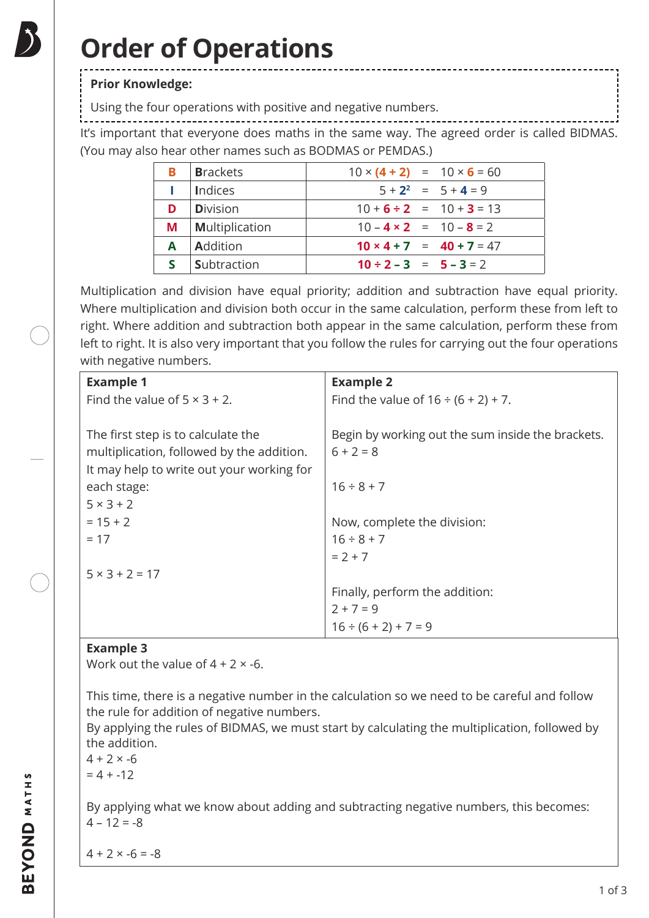# **Order of Operations**

## **Prior Knowledge:**

Using the four operations with positive and negative numbers.

It's important that everyone does maths in the same way. The agreed order is called BIDMAS. (You may also hear other names such as BODMAS or PEMDAS.)

| в | <b>Brackets</b>       | $10 \times (4 + 2) = 10 \times 6 = 60$ |
|---|-----------------------|----------------------------------------|
|   | Indices               | $5 + 2^2 = 5 + 4 = 9$                  |
| D | <b>Division</b>       | $10+6 \div 2 = 10+3 = 13$              |
| М | <b>Multiplication</b> | $10 - 4 \times 2 = 10 - 8 = 2$         |
| A | <b>Addition</b>       | $10 \times 4 + 7 = 40 + 7 = 47$        |
|   | <b>Subtraction</b>    | $10 \div 2 - 3 = 5 - 3 = 2$            |

Multiplication and division have equal priority; addition and subtraction have equal priority. Where multiplication and division both occur in the same calculation, perform these from left to right. Where addition and subtraction both appear in the same calculation, perform these from left to right. It is also very important that you follow the rules for carrying out the four operations with negative numbers.

| <b>Example 1</b>                          | <b>Example 2</b>                                  |  |  |
|-------------------------------------------|---------------------------------------------------|--|--|
| Find the value of $5 \times 3 + 2$ .      | Find the value of $16 \div (6 + 2) + 7$ .         |  |  |
|                                           |                                                   |  |  |
| The first step is to calculate the        | Begin by working out the sum inside the brackets. |  |  |
| multiplication, followed by the addition. | $6 + 2 = 8$                                       |  |  |
| It may help to write out your working for |                                                   |  |  |
| each stage:                               | $16 \div 8 + 7$                                   |  |  |
| $5 \times 3 + 2$                          |                                                   |  |  |
| $= 15 + 2$                                | Now, complete the division:                       |  |  |
| $= 17$                                    | $16 \div 8 + 7$                                   |  |  |
|                                           | $= 2 + 7$                                         |  |  |
| $5 \times 3 + 2 = 17$                     |                                                   |  |  |
|                                           | Finally, perform the addition:                    |  |  |
|                                           | $2 + 7 = 9$                                       |  |  |
|                                           | $16 \div (6 + 2) + 7 = 9$                         |  |  |

### **Example 3**

Work out the value of  $4 + 2 \times -6$ .

This time, there is a negative number in the calculation so we need to be careful and follow the rule for addition of negative numbers.

By applying the rules of BIDMAS, we must start by calculating the multiplication, followed by the addition.

 $4 + 2 \times -6$ 

 $= 4 + -12$ 

By applying what we know about adding and subtracting negative numbers, this becomes:  $4 - 12 = -8$ 

 $4 + 2 \times -6 = -8$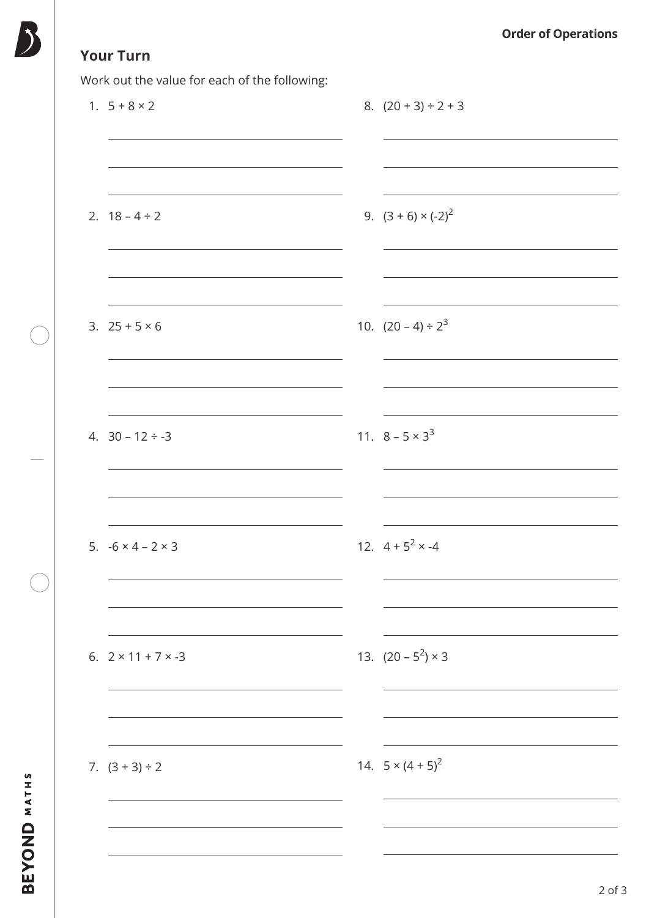# **Your Turn**

Work out the value for each of the following:

| $\check{ }$<br>1. $5 + 8 \times 2$ | 8. $(20 + 3) \div 2 + 3$   |
|------------------------------------|----------------------------|
|                                    |                            |
| 2. $18 - 4 \div 2$                 | 9. $(3 + 6) \times (-2)^2$ |
|                                    |                            |
| 3. $25 + 5 \times 6$               | 10. $(20-4) \div 2^3$      |
|                                    |                            |
| 4. $30 - 12 \div -3$               | 11. $8 - 5 \times 3^3$     |
|                                    |                            |
| 5. $-6 \times 4 - 2 \times 3$      | 12. $4 + 5^2 \times -4$    |
|                                    |                            |
| 6. $2 \times 11 + 7 \times -3$     | 13. $(20 - 5^2) \times 3$  |
|                                    |                            |
| 7. $(3 + 3) \div 2$                | 14. $5 \times (4 + 5)^2$   |
|                                    |                            |
|                                    |                            |

BEYOND MATHS